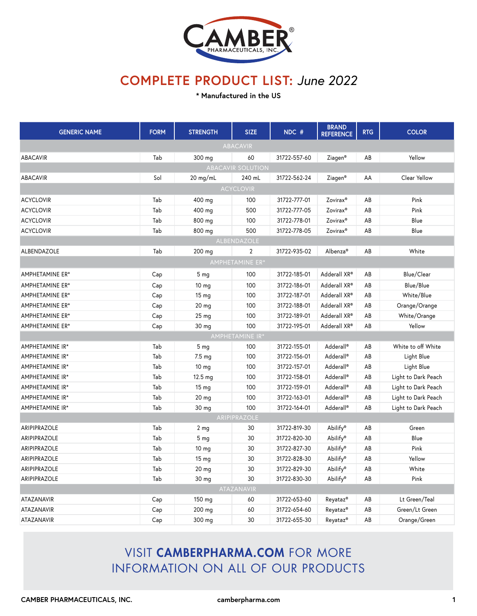

**\* Manufactured in the US**

| <b>GENERIC NAME</b>      | <b>FORM</b> | <b>STRENGTH</b>  | <b>SIZE</b>     | NDC #        | <b>BRAND</b><br><b>REFERENCE</b> | <b>RTG</b> | <b>COLOR</b>        |  |  |
|--------------------------|-------------|------------------|-----------------|--------------|----------------------------------|------------|---------------------|--|--|
|                          |             |                  | <b>ABACAVIR</b> |              |                                  |            |                     |  |  |
| <b>ABACAVIR</b>          | Tab         | 300 mg           | 60              | 31722-557-60 | Ziagen <sup>®</sup>              | AB         | Yellow              |  |  |
| <b>ABACAVIR SOLUTION</b> |             |                  |                 |              |                                  |            |                     |  |  |
| <b>ABACAVIR</b>          | Sol         | $20$ mg/mL       | 240 mL          | 31722-562-24 | Ziagen <sup>®</sup>              | AA         | Clear Yellow        |  |  |
| <b>ACYCLOVIR</b>         |             |                  |                 |              |                                  |            |                     |  |  |
| <b>ACYCLOVIR</b>         | Tab         | 400 mg           | 100             | 31722-777-01 | Zovirax <sup>®</sup>             | AB         | Pink                |  |  |
| <b>ACYCLOVIR</b>         | Tab         | 400 mg           | 500             | 31722-777-05 | Zovirax <sup>®</sup>             | AB         | Pink                |  |  |
| <b>ACYCLOVIR</b>         | Tab         | 800 mg           | 100             | 31722-778-01 | Zovirax <sup>®</sup>             | AB         | Blue                |  |  |
| <b>ACYCLOVIR</b>         | Tab         | 800 mg           | 500             | 31722-778-05 | Zovirax <sup>®</sup>             | AB         | Blue                |  |  |
|                          |             |                  | ALBENDAZOLE     |              |                                  |            |                     |  |  |
| ALBENDAZOLE              | Tab         | 200 mg           | $\overline{2}$  | 31722-935-02 | Albenza <sup>®</sup>             | AB         | White               |  |  |
|                          |             |                  | AMPHETAMINE ER* |              |                                  |            |                     |  |  |
| AMPHETAMINE ER*          | Cap         | 5 <sub>mq</sub>  | 100             | 31722-185-01 | Adderall XR®                     | AB         | Blue/Clear          |  |  |
| AMPHETAMINE ER*          | Cap         | 10 <sub>mg</sub> | 100             | 31722-186-01 | Adderall XR®                     | AB         | Blue/Blue           |  |  |
| AMPHETAMINE ER*          | Cap         | 15 <sub>mg</sub> | 100             | 31722-187-01 | Adderall XR®                     | AB         | White/Blue          |  |  |
| AMPHETAMINE ER*          | Cap         | 20 <sub>mg</sub> | 100             | 31722-188-01 | Adderall XR®                     | AB         | Orange/Orange       |  |  |
| AMPHETAMINE ER*          | Cap         | 25 <sub>mg</sub> | 100             | 31722-189-01 | Adderall XR®                     | AB         | White/Orange        |  |  |
| AMPHETAMINE ER*          | Cap         | 30 mg            | 100             | 31722-195-01 | Adderall XR®                     | AB         | Yellow              |  |  |
|                          |             |                  | AMPHETAMINE IR* |              |                                  |            |                     |  |  |
| AMPHETAMINE IR*          | Tab         | 5 <sub>mg</sub>  | 100             | 31722-155-01 | Adderall®                        | AB         | White to off White  |  |  |
| AMPHETAMINE IR*          | Tab         | $7.5 \text{ mg}$ | 100             | 31722-156-01 | Adderall®                        | AB         | Light Blue          |  |  |
| AMPHETAMINE IR*          | Tab         | 10 <sub>mg</sub> | 100             | 31722-157-01 | Adderall®                        | AB         | Light Blue          |  |  |
| AMPHETAMINE IR*          | Tab         | 12.5 mg          | 100             | 31722-158-01 | Adderall®                        | AB         | Light to Dark Peach |  |  |
| AMPHETAMINE IR*          | Tab         | 15 <sub>mg</sub> | 100             | 31722-159-01 | Adderall <sup>®</sup>            | AB         | Light to Dark Peach |  |  |
| AMPHETAMINE IR*          | Tab         | 20 mg            | 100             | 31722-163-01 | Adderall <sup>®</sup>            | AB         | Light to Dark Peach |  |  |
| AMPHETAMINE IR*          | Tab         | 30 mg            | 100             | 31722-164-01 | Adderall <sup>®</sup>            | AB         | Light to Dark Peach |  |  |
|                          |             |                  | ARIPIPRAZOLE    |              |                                  |            |                     |  |  |
| ARIPIPRAZOLE             | Tab         | 2 <sub>mg</sub>  | 30              | 31722-819-30 | Abilify®                         | AB         | Green               |  |  |
| <b>ARIPIPRAZOLE</b>      | Tab         | 5 <sub>mq</sub>  | 30              | 31722-820-30 | Abilify®                         | AB         | Blue                |  |  |
| ARIPIPRAZOLE             | Tab         | 10 mg            | 30              | 31722-827-30 | Abilify®                         | AB         | Pink                |  |  |
| ARIPIPRAZOLE             | Tab         | 15 <sub>mg</sub> | 30              | 31722-828-30 | Abilify®                         | AB         | Yellow              |  |  |
| ARIPIPRAZOLE             | Tab         | 20 mg            | 30              | 31722-829-30 | Abilify®                         | AB         | White               |  |  |
| ARIPIPRAZOLE             | Tab         | 30 mg            | 30              | 31722-830-30 | Abilify®                         | AB         | Pink                |  |  |
|                          |             |                  | ATAZANAVIR      |              |                                  |            |                     |  |  |
| ATAZANAVIR               | Cap         | 150 mg           | 60              | 31722-653-60 | Reyataz <sup>®</sup>             | AB         | Lt Green/Teal       |  |  |
| ATAZANAVIR               | Cap         | 200 mg           | 60              | 31722-654-60 | Reyataz <sup>®</sup>             | AB         | Green/Lt Green      |  |  |
| ATAZANAVIR               | Cap         | 300 mg           | 30              | 31722-655-30 | Reyataz <sup>®</sup>             | AB         | Orange/Green        |  |  |

## VISIT CAMBERPHARMA.COM FOR MORE INFORMATION ON ALL OF OUR PRODUCTS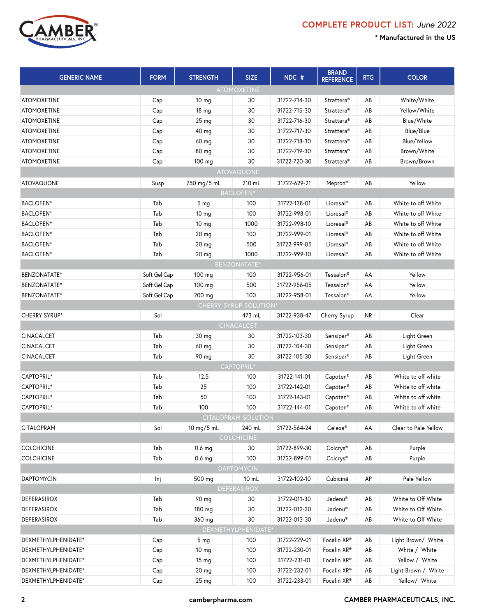

| <b>GENERIC NAME</b>    | <b>FORM</b>  | <b>STRENGTH</b>   | <b>SIZE</b>                | NDC #        | <b>BRAND</b><br><b>REFERENCE</b> | <b>RTG</b> | <b>COLOR</b>         |  |  |  |
|------------------------|--------------|-------------------|----------------------------|--------------|----------------------------------|------------|----------------------|--|--|--|
| <b>ATOMOXETINE</b>     |              |                   |                            |              |                                  |            |                      |  |  |  |
| <b>ATOMOXETINE</b>     | Cap          | 10 <sub>mg</sub>  | 30                         | 31722-714-30 | Strattera <sup>®</sup>           | AB         | White/White          |  |  |  |
| <b>ATOMOXETINE</b>     | Cap          | 18 <sub>mg</sub>  | 30                         | 31722-715-30 | Strattera <sup>®</sup>           | AB         | Yellow/White         |  |  |  |
| <b>ATOMOXETINE</b>     | Cap          | 25 mg             | 30                         | 31722-716-30 | Strattera <sup>®</sup>           | AB         | Blue/White           |  |  |  |
| <b>ATOMOXETINE</b>     | Cap          | 40 mg             | 30                         | 31722-717-30 | Strattera <sup>®</sup>           | AB         | Blue/Blue            |  |  |  |
| <b>ATOMOXETINE</b>     | Cap          | 60 mg             | 30                         | 31722-718-30 | Strattera <sup>®</sup>           | AB         | Blue/Yellow          |  |  |  |
| <b>ATOMOXETINE</b>     | Cap          | 80 mg             | 30                         | 31722-719-30 | Strattera <sup>®</sup>           | AB         | Brown/White          |  |  |  |
| <b>ATOMOXETINE</b>     | Cap          | 100 mg            | 30                         | 31722-720-30 | Strattera <sup>®</sup>           | AB         | Brown/Brown          |  |  |  |
|                        |              |                   | <b>ATOVAQUONE</b>          |              |                                  |            |                      |  |  |  |
| <b>ATOVAQUONE</b>      | Susp         | 750 mg/5 mL       | 210 mL                     | 31722-629-21 | Mepron <sup>®</sup>              | AB         | Yellow               |  |  |  |
|                        |              |                   | <b>BACLOFEN*</b>           |              |                                  |            |                      |  |  |  |
| BACLOFEN*              | Tab          | 5 <sub>mg</sub>   | 100                        | 31722-138-01 | Lioresal <sup>®</sup>            | AB         | White to off White   |  |  |  |
| BACLOFEN*              | Tab          | 10 <sub>mg</sub>  | 100                        | 31722-998-01 | Lioresal <sup>®</sup>            | AB         | White to off White   |  |  |  |
| BACLOFEN*              | Tab          | 10 mg             | 1000                       | 31722-998-10 | Lioresal <sup>®</sup>            | AB         | White to off White   |  |  |  |
| <b>BACLOFEN*</b>       | Tab          | 20 mg             | 100                        | 31722-999-01 | Lioresal <sup>®</sup>            | AB         | White to off White   |  |  |  |
| BACLOFEN*              | Tab          | 20 mg             | 500                        | 31722-999-05 | Lioresal <sup>®</sup>            | AB         | White to off White   |  |  |  |
| BACLOFEN*              | Tab          | 20 mg             | 1000                       | 31722-999-10 | Lioresal <sup>®</sup>            | AB         | White to off White   |  |  |  |
|                        |              |                   | BENZONATATE*               |              |                                  |            |                      |  |  |  |
| <b>BENZONATATE*</b>    | Soft Gel Cap | 100 mg            | 100                        | 31722-956-01 | Tessalon®                        | AA         | Yellow               |  |  |  |
| BENZONATATE*           | Soft Gel Cap | 100 mg            | 500                        | 31722-956-05 | Tessalon®                        | AA         | Yellow               |  |  |  |
| BENZONATATE*           | Soft Gel Cap | 200 mg            | 100                        | 31722-958-01 | Tessalon®                        | AA         | Yellow               |  |  |  |
| CHERRY SYRUP SOLUTION* |              |                   |                            |              |                                  |            |                      |  |  |  |
| CHERRY SYRUP*          | Sol          |                   | 473 mL                     | 31722-938-47 | Cherry Syrup                     | <b>NR</b>  | Clear                |  |  |  |
|                        |              |                   | <b>CINACALCET</b>          |              |                                  |            |                      |  |  |  |
| <b>CINACALCET</b>      | Tab          | 30 mg             | 30                         | 31722-103-30 | Sensipar®                        | AB         | Light Green          |  |  |  |
| <b>CINACALCET</b>      | Tab          | 60 mg             | 30                         | 31722-104-30 | Sensipar®                        | AB         | Light Green          |  |  |  |
| <b>CINACALCET</b>      | Tab          | 90 mg             | 30                         | 31722-105-30 | Sensipar <sup>®</sup>            | AB         | Light Green          |  |  |  |
|                        |              |                   | CAPTOPRIL*                 |              |                                  |            |                      |  |  |  |
| CAPTOPRIL*             | Tab          | 12.5              | 100                        | 31722-141-01 | Capoten®                         | AB         | White to off white   |  |  |  |
| CAPTOPRIL*             | Tab          | 25                | 100                        | 31722-142-01 | Capoten®                         | AB         | White to off white   |  |  |  |
| CAPTOPRIL*             | Tab          | 50                | 100                        | 31722-143-01 | Capoten®                         | AB         | White to off white   |  |  |  |
| CAPTOPRIL*             | Tab          | 100               | 100                        | 31722-144-01 | Capoten®                         | AB         | White to off white   |  |  |  |
|                        |              |                   | <b>CITALOPRAM SOLUTION</b> |              |                                  |            |                      |  |  |  |
| <b>CITALOPRAM</b>      | Sol          | 10 mg/5 mL        | 240 mL                     | 31722-564-24 | Celexa <sup>®</sup>              | AA         | Clear to Pale Yellow |  |  |  |
|                        |              |                   | <b>COLCHICINE</b>          |              |                                  |            |                      |  |  |  |
| <b>COLCHICINE</b>      | Tab          | 0.6 <sub>mg</sub> | 30                         | 31722-899-30 | Colcrys®                         | AB         | Purple               |  |  |  |
| <b>COLCHICINE</b>      | Tab          | $0.6$ mg          | 100                        | 31722-899-01 | Colcrys®                         | AB         | Purple               |  |  |  |
|                        |              |                   | <b>DAPTOMYCIN</b>          |              |                                  |            |                      |  |  |  |
| <b>DAPTOMYCIN</b>      | Inj          | 500 mg            | 10 mL                      | 31722-102-10 | Cubicinâ                         | AP         | Pale Yellow          |  |  |  |
|                        |              |                   | <b>DEFERASIROX</b>         |              |                                  |            |                      |  |  |  |
| DEFERASIROX            | Tab          | 90 mg             | 30                         | 31722-011-30 | Jadenu®                          | AB         | White to Off White   |  |  |  |
| <b>DEFERASIROX</b>     | Tab          | 180 mg            | 30                         | 31722-012-30 | Jadenu®                          | AB         | White to Off White   |  |  |  |
| DEFERASIROX            | Tab          | 360 mg            | 30                         | 31722-013-30 | Jadenu®                          | AB         | White to Off White   |  |  |  |
|                        |              |                   | DEXMETHYLPHENIDATE*        |              |                                  |            |                      |  |  |  |
| DEXMETHYLPHENIDATE*    | Cap          | 5 <sub>mg</sub>   | 100                        | 31722-229-01 | Focalin XR®                      | AB         | Light Brown/ White   |  |  |  |
| DEXMETHYLPHENIDATE*    | Cap          | 10 <sub>mg</sub>  | 100                        | 31722-230-01 | Focalin XR®                      | AB         | White / White        |  |  |  |
| DEXMETHYLPHENIDATE*    | Cap          | 15 <sub>mg</sub>  | 100                        | 31722-231-01 | Focalin XR®                      | AB         | Yellow / White       |  |  |  |
| DEXMETHYLPHENIDATE*    | Cap          | 20 mg             | 100                        | 31722-232-01 | Focalin XR®                      | AB         | Light Brown / White  |  |  |  |
| DEXMETHYLPHENIDATE*    | Cap          | 25 mg             | 100                        | 31722-233-01 | Focalin XR®                      | AB         | Yellow/ White        |  |  |  |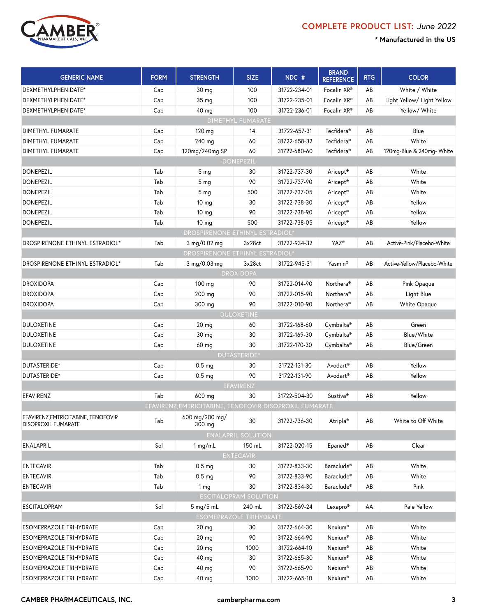

| <b>GENERIC NAME</b>                                               | <b>FORM</b> | <b>STRENGTH</b>                                         | <b>SIZE</b>                    | NDC #        | <b>BRAND</b><br><b>REFERENCE</b> | <b>RTG</b> | <b>COLOR</b>                |
|-------------------------------------------------------------------|-------------|---------------------------------------------------------|--------------------------------|--------------|----------------------------------|------------|-----------------------------|
| DEXMETHYLPHENIDATE*                                               | Cap         | 30 <sub>mg</sub>                                        | 100                            | 31722-234-01 | Focalin XR <sup>®</sup>          | AB         | White / White               |
| DEXMETHYLPHENIDATE*                                               | Cap         | 35 mg                                                   | 100                            | 31722-235-01 | Focalin XR <sup>®</sup>          | AB         | Light Yellow/ Light Yellow  |
| DEXMETHYLPHENIDATE*                                               | Cap         | 40 mg                                                   | 100                            | 31722-236-01 | Focalin XR®                      | AB         | Yellow/ White               |
|                                                                   |             |                                                         | <b>DIMETHYL FUMARATE</b>       |              |                                  |            |                             |
| DIMETHYL FUMARATE                                                 | Cap         | 120 mg                                                  | 14                             | 31722-657-31 | Tecfidera <sup>®</sup>           | AB         | Blue                        |
| DIMETHYL FUMARATE                                                 | Cap         | 240 mg                                                  | 60                             | 31722-658-32 | Tecfidera®                       | AB         | White                       |
| DIMETHYL FUMARATE                                                 | Cap         | 120mg/240mg SP                                          | 60                             | 31722-680-60 | Tecfidera <sup>®</sup>           | AB         | 120mg-Blue & 240mg- White   |
|                                                                   |             |                                                         | <b>DONEPEZIL</b>               |              |                                  |            |                             |
| <b>DONEPEZIL</b>                                                  | Tab         | 5 <sub>mg</sub>                                         | 30                             | 31722-737-30 | Aricept <sup>®</sup>             | AB         | White                       |
| <b>DONEPEZIL</b>                                                  | Tab         | 5 <sub>mg</sub>                                         | 90                             | 31722-737-90 | Aricept <sup>®</sup>             | AB         | White                       |
| <b>DONEPEZIL</b>                                                  | Tab         | 5 <sub>mg</sub>                                         | 500                            | 31722-737-05 | Aricept®                         | AB         | White                       |
| <b>DONEPEZIL</b>                                                  | Tab         | 10 mg                                                   | 30                             | 31722-738-30 | Aricept®                         | AB         | Yellow                      |
| <b>DONEPEZIL</b>                                                  | Tab         | 10 <sub>mg</sub>                                        | 90                             | 31722-738-90 | Aricept <sup>®</sup>             | AB         | Yellow                      |
| <b>DONEPEZIL</b>                                                  | Tab         | 10 <sub>mg</sub>                                        | 500                            | 31722-738-05 | Aricept <sup>®</sup>             | AB         | Yellow                      |
|                                                                   |             | <b>DROSPIRENONE ETHINYL ESTRADIOL*</b>                  |                                |              |                                  |            |                             |
| DROSPIRENONE ETHINYL ESTRADIOL*                                   | Tab         | 3 mg/0.02 mg                                            | 3x28ct                         | 31722-934-32 | YAZ®                             | AB         | Active-Pink/Placebo-White   |
|                                                                   |             | DROSPIRENONE ETHINYL ESTRADIOL*                         |                                |              |                                  |            |                             |
| DROSPIRENONE ETHINYL ESTRADIOL*                                   | Tab         | 3 mg/0.03 mg                                            | 3x28ct                         | 31722-945-31 | Yasmin®                          | AB         | Active-Yellow/Placebo-White |
|                                                                   |             |                                                         | <b>DROXIDOPA</b>               |              |                                  |            |                             |
| <b>DROXIDOPA</b>                                                  | Cap         | 100 mg                                                  | 90                             | 31722-014-90 | Northera <sup>®</sup>            | AB         | Pink Opaque                 |
| <b>DROXIDOPA</b>                                                  | Cap         | 200 mg                                                  | 90                             | 31722-015-90 | Northera <sup>®</sup>            | AB         | Light Blue                  |
| <b>DROXIDOPA</b>                                                  | Cap         | 300 mg                                                  | 90                             | 31722-010-90 | Northera <sup>®</sup>            | AB         | White Opaque                |
|                                                                   |             |                                                         | <b>DULOXETINE</b>              |              |                                  |            |                             |
| <b>DULOXETINE</b>                                                 |             |                                                         |                                | 31722-168-60 |                                  | AB         | Green                       |
|                                                                   | Cap         | $20$ mg                                                 | 60                             |              | Cymbalta®                        |            | Blue/White                  |
| <b>DULOXETINE</b><br><b>DULOXETINE</b>                            | Cap         | 30 mg                                                   | 30<br>30                       | 31722-169-30 | Cymbalta®                        | AB         |                             |
|                                                                   | Cap         | 60 mg                                                   |                                | 31722-170-30 | Cymbalta®                        | AB         | Blue/Green                  |
|                                                                   |             |                                                         | DUTASTERIDE*                   |              |                                  |            |                             |
| DUTASTERIDE*                                                      | Cap         | 0.5 <sub>mg</sub>                                       | 30                             | 31722-131-30 | Avodart <sup>®</sup>             | AB         | Yellow                      |
| DUTASTERIDE*                                                      | Cap         | 0.5 <sub>mg</sub>                                       | 90                             | 31722-131-90 | Avodart®                         | AB         | Yellow                      |
|                                                                   |             |                                                         | EFAVIRENZ                      |              |                                  |            |                             |
| EFAVIRENZ                                                         | Tab         | 600 mg                                                  | 30                             | 31722-504-30 | Sustiva <sup>®</sup>             | AB         | Yellow                      |
|                                                                   |             | EFAVIRENZ, EMTRICITABINE, TENOFOVIR DISOPROXIL FUMARATE |                                |              |                                  |            |                             |
| EFAVIRENZ, EMTRICITABINE, TENOFOVIR<br><b>DISOPROXIL FUMARATE</b> | Tab         | 600 mg/200 mg/<br>300 mg                                | 30                             | 31722-736-30 | Atripla <sup>®</sup>             | AB         | White to Off White          |
|                                                                   |             |                                                         | <b>ENALAPRIL SOLUTION</b>      |              |                                  |            |                             |
| ENALAPRIL                                                         | Sol         | 1 $mg/mL$                                               | 150 mL                         | 31722-020-15 | Epaned <sup>®</sup>              | AB         | Clear                       |
|                                                                   |             |                                                         | <b>ENTECAVIR</b>               |              |                                  |            |                             |
| <b>ENTECAVIR</b>                                                  | Tab         | 0.5 <sub>mg</sub>                                       | 30                             | 31722-833-30 | Baraclude <sup>®</sup>           | AB         | White                       |
| <b>ENTECAVIR</b>                                                  | Tab         | 0.5 <sub>mg</sub>                                       | 90                             | 31722-833-90 | Baraclude <sup>®</sup>           | AB         | White                       |
| <b>ENTECAVIR</b>                                                  | Tab         | 1 <sub>mq</sub>                                         | 30                             | 31722-834-30 | Baraclude <sup>®</sup>           | AB         | Pink                        |
|                                                                   |             |                                                         | <b>ESCITALOPRAM SOLUTION</b>   |              |                                  |            |                             |
| <b>ESCITALOPRAM</b>                                               | Sol         | $5 \text{ mg}/5 \text{ mL}$                             | 240 mL                         | 31722-569-24 | Lexapro®                         | AA         | Pale Yellow                 |
|                                                                   |             |                                                         | <b>ESOMEPRAZOLE TRIHYDRATE</b> |              |                                  |            |                             |
| ESOMEPRAZOLE TRIHYDRATE                                           | Cap         | 20 <sub>mg</sub>                                        | 30                             | 31722-664-30 | Nexium®                          | AB         | White                       |
| <b>ESOMEPRAZOLE TRIHYDRATE</b>                                    | Cap         | 20 mg                                                   | 90                             | 31722-664-90 | Nexium <sup>®</sup>              | AB         | White                       |
| ESOMEPRAZOLE TRIHYDRATE                                           | Cap         | 20 <sub>mg</sub>                                        | 1000                           | 31722-664-10 | Nexium <sup>®</sup>              | AB         | White                       |
| <b>ESOMEPRAZOLE TRIHYDRATE</b>                                    | Cap         | 40 mg                                                   | 30                             | 31722-665-30 | Nexium®                          | AB         | White                       |
| ESOMEPRAZOLE TRIHYDRATE                                           | Cap         | 40 mg                                                   | 90                             | 31722-665-90 | Nexium®                          | AB         | White                       |
| ESOMEPRAZOLE TRIHYDRATE                                           | Cap         | 40 mg                                                   | 1000                           | 31722-665-10 | Nexium®                          | AB         | White                       |
|                                                                   |             |                                                         |                                |              |                                  |            |                             |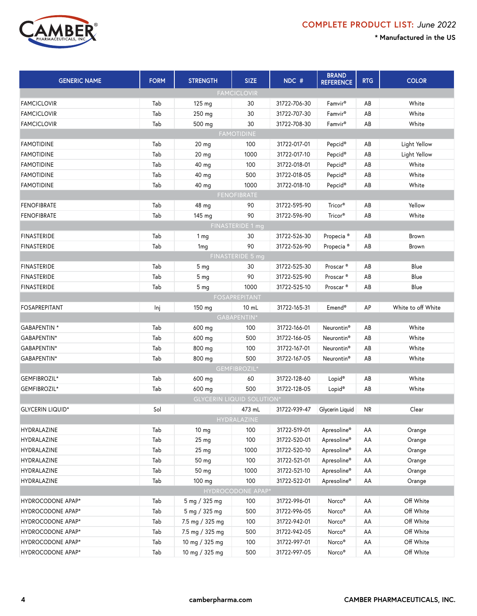

| <b>GENERIC NAME</b>     | <b>FORM</b>        | <b>STRENGTH</b>                  | <b>SIZE</b>         | NDC #        | <b>BRAND</b><br><b>REFERENCE</b> | <b>RTG</b> | <b>COLOR</b>       |  |  |  |
|-------------------------|--------------------|----------------------------------|---------------------|--------------|----------------------------------|------------|--------------------|--|--|--|
| <b>FAMCICLOVIR</b>      |                    |                                  |                     |              |                                  |            |                    |  |  |  |
| <b>FAMCICLOVIR</b>      | Tab                | 125 mg                           | 30                  | 31722-706-30 | Famvir <sup>®</sup>              | AB         | White              |  |  |  |
| <b>FAMCICLOVIR</b>      | Tab                | 250 mg                           | 30                  | 31722-707-30 | Famvir <sup>®</sup>              | AB         | White              |  |  |  |
| <b>FAMCICLOVIR</b>      | Tab                | 500 mg                           | 30                  | 31722-708-30 | Famvir <sup>®</sup>              | AB         | White              |  |  |  |
| <b>FAMOTIDINE</b>       |                    |                                  |                     |              |                                  |            |                    |  |  |  |
| <b>FAMOTIDINE</b>       | Tab                | 20 <sub>mg</sub>                 | 100                 | 31722-017-01 | Pepcid <sup>®</sup>              | AB         | Light Yellow       |  |  |  |
| <b>FAMOTIDINE</b>       | Tab                | 20 <sub>mg</sub>                 | 1000                | 31722-017-10 | Pepcid®                          | AB         | Light Yellow       |  |  |  |
| <b>FAMOTIDINE</b>       | Tab                | 40 mg                            | 100                 | 31722-018-01 | Pepcid <sup>®</sup>              | AB         | White              |  |  |  |
| <b>FAMOTIDINE</b>       | Tab                | 40 mg                            | 500                 | 31722-018-05 | Pepcid <sup>®</sup>              | AB         | White              |  |  |  |
| <b>FAMOTIDINE</b>       | Tab                | 40 mg                            | 1000                | 31722-018-10 | Pepcid <sup>®</sup>              | AB         | White              |  |  |  |
|                         | <b>FENOFIBRATE</b> |                                  |                     |              |                                  |            |                    |  |  |  |
| <b>FENOFIBRATE</b>      | Tab                | 48 mg                            | 90                  | 31722-595-90 | Tricor®                          | AB         | Yellow             |  |  |  |
| <b>FENOFIBRATE</b>      | Tab                | 145 mg                           | 90                  | 31722-596-90 | Tricor®                          | AB         | White              |  |  |  |
|                         |                    |                                  | FINASTERIDE 1 mg    |              |                                  |            |                    |  |  |  |
| <b>FINASTERIDE</b>      | Tab                | 1 <sub>mg</sub>                  | 30                  | 31722-526-30 | Propecia <sup>®</sup>            | AB         | Brown              |  |  |  |
| <b>FINASTERIDE</b>      | Tab                | 1 <sub>mg</sub>                  | 90                  | 31722-526-90 | Propecia <sup>®</sup>            | AB         | Brown              |  |  |  |
|                         |                    |                                  | FINASTERIDE 5 mg    |              |                                  |            |                    |  |  |  |
| <b>FINASTERIDE</b>      | Tab                | 5 <sub>mg</sub>                  | 30                  | 31722-525-30 | Proscar <sup>®</sup>             | AB         | Blue               |  |  |  |
| <b>FINASTERIDE</b>      | Tab                | 5 <sub>mg</sub>                  | 90                  | 31722-525-90 | Proscar <sup>®</sup>             | AB         | Blue               |  |  |  |
| <b>FINASTERIDE</b>      | Tab                | 5 <sub>mq</sub>                  | 1000                | 31722-525-10 | Proscar <sup>®</sup>             | AB         | Blue               |  |  |  |
| FOSAPREPITANT           |                    |                                  |                     |              |                                  |            |                    |  |  |  |
| <b>FOSAPREPITANT</b>    | Inj                | 150 mg                           | $10$ mL             | 31722-165-31 | Emend <sup>®</sup>               | AP         | White to off White |  |  |  |
| GABAPENTIN*             |                    |                                  |                     |              |                                  |            |                    |  |  |  |
| GABAPENTIN *            | Tab                | 600 mg                           | 100                 | 31722-166-01 | Neurontin <sup>®</sup>           | AB         | White              |  |  |  |
| GABAPENTIN*             | Tab                | 600 mg                           | 500                 | 31722-166-05 | Neurontin <sup>®</sup>           | AB         | White              |  |  |  |
| GABAPENTIN*             | Tab                | 800 mg                           | 100                 | 31722-167-01 | Neurontin <sup>®</sup>           | AB         | White              |  |  |  |
| GABAPENTIN*             | Tab                | 800 mg                           | 500                 | 31722-167-05 | Neurontin <sup>®</sup>           | AB         | White              |  |  |  |
|                         |                    |                                  | <b>GEMFIBROZIL*</b> |              |                                  |            |                    |  |  |  |
| GEMFIBROZIL*            | Tab                | 600 mg                           | 60                  | 31722-128-60 | Lopid <sup>®</sup>               | AB         | White              |  |  |  |
| GEMFIBROZIL*            | Tab                | 600 mg                           | 500                 | 31722-128-05 | Lopid <sup>®</sup>               | AB         | White              |  |  |  |
|                         |                    | <b>GLYCERIN LIQUID SOLUTION*</b> |                     |              |                                  |            |                    |  |  |  |
| <b>GLYCERIN LIQUID*</b> | Sol                |                                  | 473 mL              | 31722-939-47 | Glycerin Liquid                  | <b>NR</b>  | Clear              |  |  |  |
|                         |                    |                                  | HYDRALAZINE         |              |                                  |            |                    |  |  |  |
| HYDRALAZINE             | Tab                | 10 <sub>mg</sub>                 | 100                 | 31722-519-01 | Apresoline®                      | AA         | Orange             |  |  |  |
| HYDRALAZINE             | Tab                | 25 mg                            | 100                 | 31722-520-01 | Apresoline®                      | AA         | Orange             |  |  |  |
| HYDRALAZINE             | Tab                | 25 mg                            | 1000                | 31722-520-10 | Apresoline®                      | AA         | Orange             |  |  |  |
| HYDRALAZINE             | Tab                | 50 mg                            | 100                 | 31722-521-01 | Apresoline®                      | AA         | Orange             |  |  |  |
| HYDRALAZINE             | Tab                | 50 mg                            | 1000                | 31722-521-10 | Apresoline®                      | AA         | Orange             |  |  |  |
| HYDRALAZINE             | Tab                | 100 mg                           | 100                 | 31722-522-01 | Apresoline®                      | AA         | Orange             |  |  |  |
|                         |                    |                                  | HYDROCODONE APAP*   |              |                                  |            |                    |  |  |  |
| HYDROCODONE APAP*       | Tab                | 5 mg / 325 mg                    | 100                 | 31722-996-01 | Norco <sup>®</sup>               | AA         | Off White          |  |  |  |
| HYDROCODONE APAP*       | Tab                | 5 mg / 325 mg                    | 500                 | 31722-996-05 | Norco <sup>®</sup>               | AA         | Off White          |  |  |  |
| HYDROCODONE APAP*       | Tab                | 7.5 mg / 325 mg                  | 100                 | 31722-942-01 | Norco <sup>®</sup>               | AA         | Off White          |  |  |  |
| HYDROCODONE APAP*       | Tab                | 7.5 mg / 325 mg                  | 500                 | 31722-942-05 | Norco <sup>®</sup>               | AA         | Off White          |  |  |  |
| HYDROCODONE APAP*       | Tab                | 10 mg / 325 mg                   | 100                 | 31722-997-01 | Norco <sup>®</sup>               | AA         | Off White          |  |  |  |
| HYDROCODONE APAP*       | Tab                | 10 mg / 325 mg                   | 500                 | 31722-997-05 | Norco <sup>®</sup>               | AA         | Off White          |  |  |  |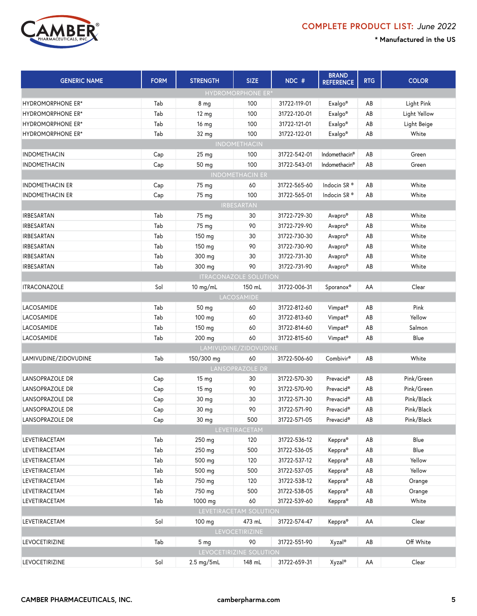

| <b>GENERIC NAME</b>      | <b>FORM</b>    | <b>STRENGTH</b>  | <b>SIZE</b>                  | NDC #        | <b>BRAND</b><br><b>REFERENCE</b> | <b>RTG</b> | <b>COLOR</b> |  |  |  |
|--------------------------|----------------|------------------|------------------------------|--------------|----------------------------------|------------|--------------|--|--|--|
|                          |                |                  | <b>HYDROMORPHONE ER*</b>     |              |                                  |            |              |  |  |  |
| <b>HYDROMORPHONE ER*</b> | Tab            | 8 <sub>mg</sub>  | 100                          | 31722-119-01 | Exalgo <sup>®</sup>              | AB         | Light Pink   |  |  |  |
| <b>HYDROMORPHONE ER*</b> | Tab            | $12 \text{ mg}$  | 100                          | 31722-120-01 | Exalgo <sup>®</sup>              | AB         | Light Yellow |  |  |  |
| <b>HYDROMORPHONE ER*</b> | Tab            | 16 mg            | 100                          | 31722-121-01 | Exalgo <sup>®</sup>              | AB         | Light Beige  |  |  |  |
| <b>HYDROMORPHONE ER*</b> | Tab            | 32 mg            | 100                          | 31722-122-01 | Exalgo <sup>®</sup>              | AB         | White        |  |  |  |
|                          |                |                  | <b>INDOMETHACIN</b>          |              |                                  |            |              |  |  |  |
| <b>INDOMETHACIN</b>      | Cap            | 25 <sub>mg</sub> | 100                          | 31722-542-01 | Indomethacin <sup>®</sup>        | AB         | Green        |  |  |  |
| <b>INDOMETHACIN</b>      | Cap            | 50 mg            | 100                          | 31722-543-01 | Indomethacin <sup>®</sup>        | AB         | Green        |  |  |  |
| <b>INDOMETHACIN ER</b>   |                |                  |                              |              |                                  |            |              |  |  |  |
| <b>INDOMETHACIN ER</b>   | Cap            | 75 mg            | 60                           | 31722-565-60 | Indocin SR <sup>®</sup>          | AB         | White        |  |  |  |
| <b>INDOMETHACIN ER</b>   | Cap            | 75 mg            | 100                          | 31722-565-01 | Indocin SR®                      | AB         | White        |  |  |  |
| IRBESARTAN               |                |                  |                              |              |                                  |            |              |  |  |  |
| IRBESARTAN               | Tab            | 75 mg            | 30                           | 31722-729-30 | Avapro®                          | AB         | White        |  |  |  |
| IRBESARTAN               | Tab            | 75 mg            | 90                           | 31722-729-90 | Avapro®                          | AB         | White        |  |  |  |
| IRBESARTAN               | Tab            | 150 mg           | 30                           | 31722-730-30 | Avapro®                          | AB         | White        |  |  |  |
| IRBESARTAN               | Tab            | 150 mg           | 90                           | 31722-730-90 | Avapro®                          | AB         | White        |  |  |  |
| IRBESARTAN               | Tab            | 300 mg           | 30                           | 31722-731-30 | Avapro®                          | AB         | White        |  |  |  |
| IRBESARTAN               | Tab            | 300 mg           | 90                           | 31722-731-90 | Avapro®                          | AB         | White        |  |  |  |
|                          |                |                  | <b>ITRACONAZOLE SOLUTION</b> |              |                                  |            |              |  |  |  |
| <b>ITRACONAZOLE</b>      | Sol            | $10$ mg/mL       | 150 mL                       | 31722-006-31 | Sporanox <sup>®</sup>            | AA         | Clear        |  |  |  |
|                          |                |                  | LACOSAMIDE                   |              |                                  |            |              |  |  |  |
| LACOSAMIDE               | Tab            | 50 mg            | 60                           | 31722-812-60 | Vimpat <sup>®</sup>              | AB         | Pink         |  |  |  |
| LACOSAMIDE               | Tab            | 100 mg           | 60                           | 31722-813-60 | Vimpat <sup>®</sup>              | AB         | Yellow       |  |  |  |
| LACOSAMIDE               | Tab            | 150 mg           | 60                           | 31722-814-60 | Vimpat <sup>®</sup>              | AB         | Salmon       |  |  |  |
| LACOSAMIDE               | Tab            | 200 mg           | 60                           | 31722-815-60 | Vimpat <sup>®</sup>              | AB         | Blue         |  |  |  |
|                          |                |                  | LAMIVUDINE/ZIDOVUDINE        |              |                                  |            |              |  |  |  |
| LAMIVUDINE/ZIDOVUDINE    | Tab            | 150/300 mg       | 60                           | 31722-506-60 | Combivir <sup>®</sup>            | AB         | White        |  |  |  |
|                          |                |                  | LANSOPRAZOLE DR              |              |                                  |            |              |  |  |  |
| LANSOPRAZOLE DR          | Cap            | $15 \text{ mg}$  | 30                           | 31722-570-30 | Prevacid <sup>®</sup>            | AB         | Pink/Green   |  |  |  |
| <b>LANSOPRAZOLE DR</b>   | Cap            | 15 mg            | 90                           | 31722-570-90 | Prevacid <sup>®</sup>            | AB         | Pink/Green   |  |  |  |
| LANSOPRAZOLE DR          | Cap            | 30 mg            | 30                           | 31722-571-30 | Prevacid <sup>®</sup>            | AB         | Pink/Black   |  |  |  |
| LANSOPRAZOLE DR          | Cap            | 30 mg            | 90                           | 31722-571-90 | Prevacid®                        | AB         | Pink/Black   |  |  |  |
| LANSOPRAZOLE DR          | $\mathsf{Cap}$ | 30 mg            | 500                          | 31722-571-05 | Prevacid®                        | AB         | Pink/Black   |  |  |  |
|                          |                |                  | LEVETIRACETAM                |              |                                  |            |              |  |  |  |
| LEVETIRACETAM            | Tab            | 250 mg           | 120                          | 31722-536-12 | Keppra <sup>®</sup>              | AB         | Blue         |  |  |  |
| LEVETIRACETAM            | Tab            | 250 mg           | 500                          | 31722-536-05 | Keppra <sup>®</sup>              | AB         | Blue         |  |  |  |
| LEVETIRACETAM            | Tab            | 500 mg           | 120                          | 31722-537-12 | Keppra <sup>®</sup>              | AB         | Yellow       |  |  |  |
| LEVETIRACETAM            | Tab            | 500 mg           | 500                          | 31722-537-05 | Keppra®                          | AB         | Yellow       |  |  |  |
| LEVETIRACETAM            | Tab            | 750 mg           | 120                          | 31722-538-12 | Keppra®                          | AB         | Orange       |  |  |  |
| LEVETIRACETAM            | Tab            | 750 mg           | 500                          | 31722-538-05 | Keppra®                          | AB         | Orange       |  |  |  |
| LEVETIRACETAM            | Tab            | 1000 mg          | 60                           | 31722-539-60 | Keppra®                          | AB         | White        |  |  |  |
|                          |                |                  | LEVETIRACETAM SOLUTION       |              |                                  |            |              |  |  |  |
| LEVETIRACETAM            | Sol            | 100 mg           | 473 mL                       | 31722-574-47 | Keppra®                          | AA         | Clear        |  |  |  |
|                          |                |                  | <b>LEVOCETIRIZINE</b>        |              |                                  |            |              |  |  |  |
| <b>LEVOCETIRIZINE</b>    | Tab            | 5 <sub>mg</sub>  | 90                           | 31722-551-90 | Xyzal <sup>®</sup>               | AB         | Off White    |  |  |  |
|                          |                |                  | LEVOCETIRIZINE SOLUTION      |              |                                  |            |              |  |  |  |
| LEVOCETIRIZINE           | Sol            | 2.5 mg/5mL       | 148 mL                       | 31722-659-31 | Xyzal <sup>®</sup>               | AA         | Clear        |  |  |  |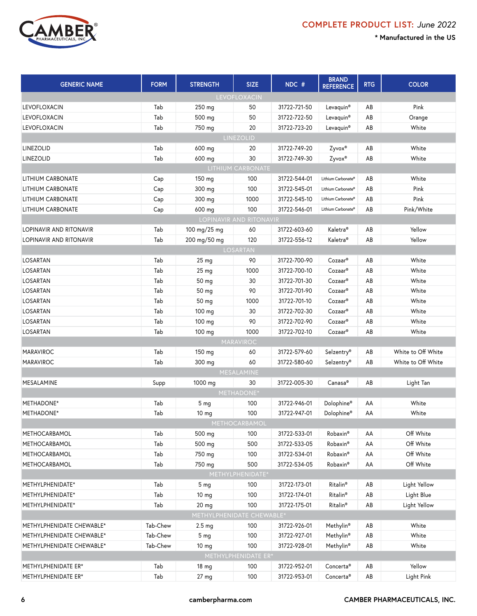

| <b>GENERIC NAME</b>       | <b>FORM</b> | <b>STRENGTH</b>           | <b>SIZE</b>         | NDC #        | <b>BRAND</b><br><b>REFERENCE</b> | <b>RTG</b> | <b>COLOR</b>       |
|---------------------------|-------------|---------------------------|---------------------|--------------|----------------------------------|------------|--------------------|
|                           |             |                           | LEVOFLOXACIN        |              |                                  |            |                    |
| LEVOFLOXACIN              | Tab         | 250 mg                    | 50                  | 31722-721-50 | Levaquin®                        | AB         | Pink               |
| <b>LEVOFLOXACIN</b>       | Tab         | 500 mg                    | 50                  | 31722-722-50 | Levaquin®                        | AB         | Orange             |
| <b>LEVOFLOXACIN</b>       | Tab         | 750 mg                    | 20                  | 31722-723-20 | Levaquin®                        | AB         | White              |
|                           |             |                           | LINEZOLID           |              |                                  |            |                    |
| LINEZOLID                 | Tab         | 600 mg                    | 20                  | 31722-749-20 | Zyvox®                           | AB         | White              |
| LINEZOLID                 | Tab         | 600 mg                    | 30                  | 31722-749-30 | Zyvox®                           | AB         | White              |
|                           |             |                           | LITHIUM CARBONATE   |              |                                  |            |                    |
| LITHIUM CARBONATE         | Cap         | 150 mg                    | 100                 | 31722-544-01 | Lithium Carbonate®               | AB         | White              |
| <b>LITHIUM CARBONATE</b>  | Cap         | 300 mg                    | 100                 | 31722-545-01 | Lithium Carbonate®               | AB         | Pink               |
| LITHIUM CARBONATE         | Cap         | 300 mg                    | 1000                | 31722-545-10 | Lithium Carbonate®               | AB         | Pink               |
| LITHIUM CARBONATE         | Cap         | 600 mg                    | 100                 | 31722-546-01 | Lithium Carbonate®               | AB         | Pink/White         |
|                           |             | LOPINAVIR AND RITONAVIR   |                     |              |                                  |            |                    |
| LOPINAVIR AND RITONAVIR   | Tab         | 100 mg/25 mg              | 60                  | 31722-603-60 | Kaletra <sup>®</sup>             | AB         | Yellow             |
| LOPINAVIR AND RITONAVIR   | Tab         | 200 mg/50 mg              | 120                 | 31722-556-12 | Kaletra <sup>®</sup>             | AB         | Yellow             |
|                           |             |                           | LOSARTAN            |              |                                  |            |                    |
| <b>LOSARTAN</b>           | Tab         | 25 <sub>mg</sub>          | 90                  | 31722-700-90 | Cozaar®                          | AB         | White              |
| <b>LOSARTAN</b>           | Tab         | 25 mg                     | 1000                | 31722-700-10 | Cozaar®                          | AB         | White              |
| LOSARTAN                  | Tab         | 50 mg                     | 30                  | 31722-701-30 | Cozaar®                          | AB         | White              |
| <b>LOSARTAN</b>           | Tab         | 50 mg                     | 90                  | 31722-701-90 | Cozaar®                          | AB         | White              |
| <b>LOSARTAN</b>           | Tab         | 50 mg                     | 1000                | 31722-701-10 | Cozaar®                          | AB         | White              |
| LOSARTAN                  | Tab         | 100 mg                    | 30                  | 31722-702-30 | Cozaar®                          | AB         | White              |
| LOSARTAN                  | Tab         | 100 mg                    | 90                  | 31722-702-90 | Cozaar®                          | AB         | White              |
| LOSARTAN                  | Tab         | 100 mg                    | 1000                | 31722-702-10 | Cozaar®                          | AB         | White              |
|                           |             |                           | MARAVIROC           |              |                                  |            |                    |
| <b>MARAVIROC</b>          | Tab         | 150 mg                    | 60                  | 31722-579-60 | Selzentry®                       | AB         | White to Off White |
| <b>MARAVIROC</b>          | Tab         | 300 mg                    | 60                  | 31722-580-60 | Selzentry®                       | AB         | White to Off White |
|                           |             |                           | MESALAMINE          |              |                                  |            |                    |
| MESALAMINE                | Supp        | 1000 mg                   | 30                  | 31722-005-30 | Canasa®                          | AB         | Light Tan          |
|                           |             |                           | METHADONE*          |              |                                  |            |                    |
| METHADONE*                | Tab         | 5 <sub>mg</sub>           | 100                 | 31722-946-01 | Dolophine <sup>®</sup>           | AA         | White              |
| METHADONE*                | Tab         | 10 <sub>mg</sub>          | 100                 | 31722-947-01 | Dolophine®                       | AA         | White              |
|                           |             |                           | METHOCARBAMOL       |              |                                  |            |                    |
| METHOCARBAMOL             | Tab         | 500 mg                    | 100                 | 31722-533-01 | Robaxin®                         | AA         | Off White          |
| METHOCARBAMOL             | Tab         | 500 mg                    | 500                 | 31722-533-05 | Robaxin®                         | AA         | Off White          |
| METHOCARBAMOL             | Tab         | 750 mg                    | 100                 | 31722-534-01 | Robaxin®                         | AA         | Off White          |
| METHOCARBAMOL             | Tab         | 750 mg                    | 500                 | 31722-534-05 | Robaxin®                         | AA         | Off White          |
|                           |             |                           | METHYLPHENIDATE*    |              |                                  |            |                    |
| METHYLPHENIDATE*          | Tab         | 5 <sub>mg</sub>           | 100                 | 31722-173-01 | Ritalin <sup>®</sup>             | AB         | Light Yellow       |
| METHYLPHENIDATE*          | Tab         | 10 mg                     | 100                 | 31722-174-01 | Ritalin <sup>®</sup>             | AB         | Light Blue         |
| METHYLPHENIDATE*          | Tab         | 20 mg                     | 100                 | 31722-175-01 | Ritalin <sup>®</sup>             | AB         | Light Yellow       |
|                           |             | METHYLPHENIDATE CHEWABLE* |                     |              |                                  |            |                    |
| METHYLPHENIDATE CHEWABLE* | Tab-Chew    | 2.5 <sub>mg</sub>         | 100                 | 31722-926-01 | Methylin <sup>®</sup>            | AB         | White              |
| METHYLPHENIDATE CHEWABLE* | Tab-Chew    | 5 <sub>mg</sub>           | 100                 | 31722-927-01 | Methylin <sup>®</sup>            | AB         | White              |
| METHYLPHENIDATE CHEWABLE* | Tab-Chew    | 10 mg                     | 100                 | 31722-928-01 | Methylin <sup>®</sup>            | AB         | White              |
|                           |             |                           | METHYLPHENIDATE ER* |              |                                  |            |                    |
| METHYLPHENIDATE ER*       | Tab         | 18 <sub>mg</sub>          | 100                 | 31722-952-01 | Concerta®                        | AB         | Yellow             |
| METHYLPHENIDATE ER*       | Tab         | 27 <sub>mg</sub>          | 100                 | 31722-953-01 | Concerta®                        | AB         | Light Pink         |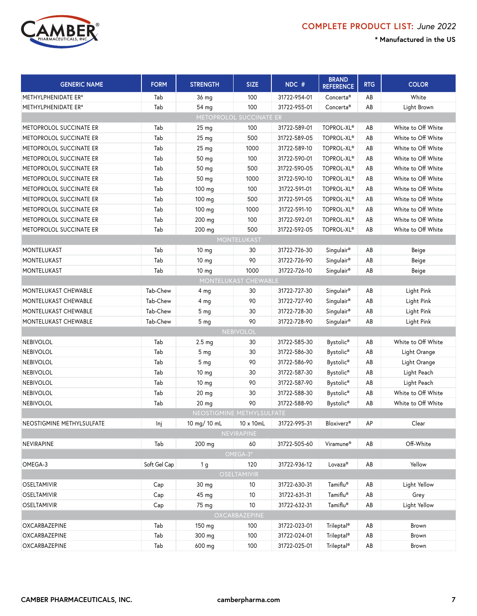

| <b>GENERIC NAME</b>       | <b>FORM</b>  | <b>STRENGTH</b>           | <b>SIZE</b>        | NDC #        | <b>BRAND</b><br><b>REFERENCE</b> | <b>RTG</b> | <b>COLOR</b>       |  |
|---------------------------|--------------|---------------------------|--------------------|--------------|----------------------------------|------------|--------------------|--|
| METHYLPHENIDATE ER*       | Tab          | 36 mg                     | 100                | 31722-954-01 | Concerta <sup>®</sup>            | AB         | White              |  |
| METHYLPHENIDATE ER*       | Tab          | 54 mg                     | 100                | 31722-955-01 | Concerta <sup>®</sup>            | AB         | Light Brown        |  |
|                           |              | METOPROLOL SUCCINATE ER   |                    |              |                                  |            |                    |  |
| METOPROLOL SUCCINATE ER   | Tab          | $25 \text{ mg}$           | 100                | 31722-589-01 | TOPROL-XL®                       | AB         | White to Off White |  |
| METOPROLOL SUCCINATE ER   | Tab          | 25 <sub>mg</sub>          | 500                | 31722-589-05 | TOPROL-XL®                       | AB         | White to Off White |  |
| METOPROLOL SUCCINATE ER   | Tab          | 25 mg                     | 1000               | 31722-589-10 | TOPROL-XL®                       | AB         | White to Off White |  |
| METOPROLOL SUCCINATE ER   | Tab          | 50 mg                     | 100                | 31722-590-01 | TOPROL-XL®                       | AB         | White to Off White |  |
| METOPROLOL SUCCINATE ER   | Tab          | 50 mg                     | 500                | 31722-590-05 | TOPROL-XL®                       | AB         | White to Off White |  |
| METOPROLOL SUCCINATE ER   | Tab          | 50 mg                     | 1000               | 31722-590-10 | TOPROL-XL®                       | AB         | White to Off White |  |
| METOPROLOL SUCCINATE ER   | Tab          | 100 mg                    | 100                | 31722-591-01 | TOPROL-XL®                       | AB         | White to Off White |  |
| METOPROLOL SUCCINATE ER   | Tab          | 100 mg                    | 500                | 31722-591-05 | TOPROL-XL®                       | AB         | White to Off White |  |
| METOPROLOL SUCCINATE ER   | Tab          | 100 mg                    | 1000               | 31722-591-10 | TOPROL-XL®                       | AB         | White to Off White |  |
| METOPROLOL SUCCINATE ER   | Tab          | 200 mg                    | 100                | 31722-592-01 | TOPROL-XL <sup>®</sup>           | AB         | White to Off White |  |
| METOPROLOL SUCCINATE ER   | Tab          | 200 mg                    | 500                | 31722-592-05 | TOPROL-XL®                       | AB         | White to Off White |  |
|                           |              |                           | MONTELUKAST        |              |                                  |            |                    |  |
| MONTELUKAST               | Tab          | 10 <sub>mg</sub>          | 30                 | 31722-726-30 | Singulair®                       | AB         | Beige              |  |
| MONTELUKAST               | Tab          | 10 mg                     | 90                 | 31722-726-90 | Singulair <sup>®</sup>           | AB         | Beige              |  |
| MONTELUKAST               | Tab          | 10 <sub>mg</sub>          | 1000               | 31722-726-10 | Singulair®                       | AB         | Beige              |  |
| MONTELUKAST CHEWABLE      |              |                           |                    |              |                                  |            |                    |  |
| MONTELUKAST CHEWABLE      | Tab-Chew     | 4 mg                      | 30                 | 31722-727-30 | Singulair <sup>®</sup>           | AB         | Light Pink         |  |
| MONTELUKAST CHEWABLE      | Tab-Chew     | 4 <sub>mg</sub>           | 90                 | 31722-727-90 | Singulair <sup>®</sup>           | AB         | Light Pink         |  |
| MONTELUKAST CHEWABLE      | Tab-Chew     | 5 <sub>mg</sub>           | 30                 | 31722-728-30 | Singulair®                       | AB         | Light Pink         |  |
| MONTELUKAST CHEWABLE      | Tab-Chew     | 5 <sub>mg</sub>           | 90                 | 31722-728-90 | Singulair®                       | AB         | Light Pink         |  |
|                           |              |                           | <b>NEBIVOLOL</b>   |              |                                  |            |                    |  |
| <b>NEBIVOLOL</b>          | Tab          | 2.5 <sub>mg</sub>         | 30                 | 31722-585-30 | Bystolic <sup>®</sup>            | AB         | White to Off White |  |
| <b>NEBIVOLOL</b>          | Tab          | 5 <sub>mg</sub>           | 30                 | 31722-586-30 | Bystolic <sup>®</sup>            | AB         | Light Orange       |  |
| <b>NEBIVOLOL</b>          | Tab          | 5 <sub>mg</sub>           | 90                 | 31722-586-90 | Bystolic <sup>®</sup>            | AB         | Light Orange       |  |
| <b>NEBIVOLOL</b>          | Tab          | 10 <sub>mg</sub>          | 30                 | 31722-587-30 | Bystolic®                        | AB         | Light Peach        |  |
| <b>NEBIVOLOL</b>          | Tab          | 10 <sub>mg</sub>          | 90                 | 31722-587-90 | Bystolic <sup>®</sup>            | AB         | Light Peach        |  |
| <b>NEBIVOLOL</b>          | Tab          | 20 mg                     | 30                 | 31722-588-30 | Bystolic <sup>®</sup>            | AB         | White to Off White |  |
| <b>NEBIVOLOL</b>          | Tab          | 20 mg                     | 90                 | 31722-588-90 | Bystolic <sup>®</sup>            | AB         | White to Off White |  |
|                           |              | NEOSTIGMINE METHYLSULFATE |                    |              |                                  |            |                    |  |
| NEOSTIGMINE METHYLSULFATE | Inj          | 10 mg/ 10 mL              | 10 x 10mL          | 31722-995-31 | <b>Bloxiverz®</b>                | AP         | Clear              |  |
|                           |              |                           | NEVIRAPINE         |              |                                  |            |                    |  |
| NEVIRAPINE                | Tab          | 200 mg                    | 60<br>OMEGA-3*     | 31722-505-60 | Viramune <sup>®</sup>            | AB         | Off-White          |  |
| OMEGA-3                   | Soft Gel Cap | 1 g                       | 120                | 31722-936-12 | Lovaza®                          | AB         | Yellow             |  |
|                           |              |                           | <b>OSELTAMIVIR</b> |              |                                  |            |                    |  |
| <b>OSELTAMIVIR</b>        | Cap          | 30 mg                     | 10                 | 31722-630-31 | Tamiflu®                         | AB         | Light Yellow       |  |
| <b>OSELTAMIVIR</b>        | Cap          | 45 mg                     | 10                 | 31722-631-31 | Tamiflu®                         | AB         | Grey               |  |
| <b>OSELTAMIVIR</b>        | Cap          | 75 mg                     | $10$               | 31722-632-31 | Tamiflu®                         | AB         | Light Yellow       |  |
|                           |              |                           | OXCARBAZEPINE      |              |                                  |            |                    |  |
| OXCARBAZEPINE             | Tab          | 150 mg                    | 100                | 31722-023-01 | Trileptal®                       | AB         | Brown              |  |
| OXCARBAZEPINE             | Tab          | 300 mg                    | 100                | 31722-024-01 | Trileptal <sup>®</sup>           | AB         | Brown              |  |
| OXCARBAZEPINE             | Tab          | 600 mg                    | 100                | 31722-025-01 | Trileptal <sup>®</sup>           | AB         | Brown              |  |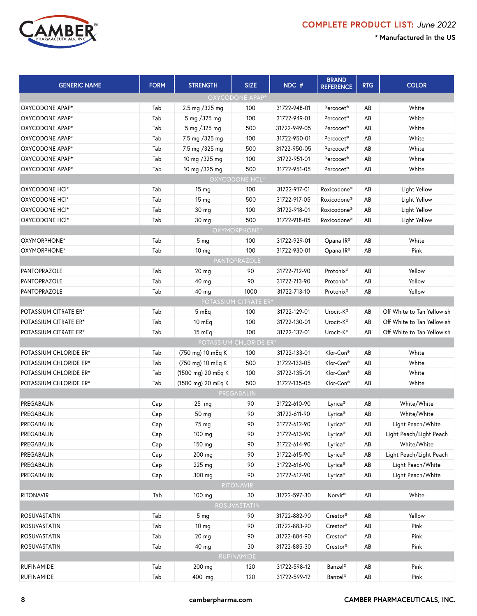



| <b>GENERIC NAME</b>    | <b>FORM</b> | <b>STRENGTH</b>              | <b>SIZE</b>      | NDC #        | <b>BRAND</b><br><b>REFERENCE</b> | <b>RTG</b>             | <b>COLOR</b>               |
|------------------------|-------------|------------------------------|------------------|--------------|----------------------------------|------------------------|----------------------------|
|                        |             |                              | OXYCODONE APAP*  |              |                                  |                        |                            |
| OXYCODONE APAP*        | Tab         | 2.5 mg / 325 mg              | 100              | 31722-948-01 | Percocet <sup>®</sup>            | AB                     | White                      |
| OXYCODONE APAP*        | Tab         | 5 mg /325 mg                 | 100              | 31722-949-01 | Percocet <sup>®</sup>            | AB                     | White                      |
| OXYCODONE APAP*        | Tab         | 5 mg /325 mg                 | 500              | 31722-949-05 | Percocet <sup>®</sup>            | AB                     | White                      |
| OXYCODONE APAP*        | Tab         | 7.5 mg / 325 mg              | 100              | 31722-950-01 | Percocet <sup>®</sup>            | AB                     | White                      |
| OXYCODONE APAP*        | Tab         | 7.5 mg / 325 mg              | 500              | 31722-950-05 | Percocet <sup>®</sup>            | AB                     | White                      |
| OXYCODONE APAP*        | Tab         | 10 mg /325 mg                | 100              | 31722-951-01 | Percocet <sup>®</sup>            | AB                     | White                      |
| OXYCODONE APAP*        | Tab         | 10 mg / 325 mg               | 500              | 31722-951-05 | Percocet <sup>®</sup>            | AB                     | White                      |
|                        |             |                              | OXYCODONE HCL*   |              |                                  |                        |                            |
| OXYCODONE HCI*         | Tab         | 15 <sub>mg</sub>             | 100              | 31722-917-01 | Roxicodone <sup>®</sup>          | AB                     | Light Yellow               |
| OXYCODONE HCI*         | Tab         | 15 <sub>mg</sub>             | 500              | 31722-917-05 | Roxicodone®                      | AB                     | Light Yellow               |
| OXYCODONE HCI*         | Tab         | 30 mg                        | 100              | 31722-918-01 | Roxicodone®                      | AB                     | Light Yellow               |
| OXYCODONE HCI*         | Tab         | 30 mg                        | 500              | 31722-918-05 | Roxicodone®                      | AB                     | Light Yellow               |
|                        |             |                              | OXYMORPHONE*     |              |                                  |                        |                            |
| OXYMORPHONE*           | Tab         | 5 <sub>mg</sub>              | 100              | 31722-929-01 | Opana IR®                        | AB                     | White                      |
| OXYMORPHONE*           | Tab         | 10 <sub>mg</sub>             | 100              | 31722-930-01 | Opana IR®                        | AB                     | Pink                       |
|                        |             |                              | PANTOPRAZOLE     |              |                                  |                        |                            |
| PANTOPRAZOLE           | Tab         | 20 <sub>mg</sub>             | 90               | 31722-712-90 | Protonix®                        | AB                     | Yellow                     |
| PANTOPRAZOLE           | Tab         | 40 mg                        | 90               | 31722-713-90 | Protonix <sup>®</sup>            | AB                     | Yellow                     |
| <b>PANTOPRAZOLE</b>    | Tab         | 40 mg                        | 1000             | 31722-713-10 | Protonix <sup>®</sup>            | AB                     | Yellow                     |
|                        |             | <b>POTASSIUM CITRATE ER*</b> |                  |              |                                  |                        |                            |
| POTASSIUM CITRATE ER*  | Tab         | 5 mEq                        | 100              | 31722-129-01 | Urocit-K®                        | AB                     | Off White to Tan Yellowish |
| POTASSIUM CITRATE ER*  | Tab         | 10 mEq                       | 100              | 31722-130-01 | Urocit-K®                        | AB                     | Off White to Tan Yellowish |
| POTASSIUM CITRATE ER*  | Tab         | 15 mEq                       | 100              | 31722-132-01 | Urocit-K®                        | AB                     | Off White to Tan Yellowish |
|                        |             | POTASSIUM CHLORIDE ER*       |                  |              |                                  |                        |                            |
| POTASSIUM CHLORIDE ER* | Tab         | (750 mg) 10 mEq K            | 100              | 31722-133-01 | Klor-Con®                        | AB                     | White                      |
| POTASSIUM CHLORIDE ER* | Tab         | (750 mg) 10 mEq K            | 500              | 31722-133-05 | Klor-Con®                        | AB                     | White                      |
| POTASSIUM CHLORIDE ER* | Tab         | (1500 mg) 20 mEq K           | 100              | 31722-135-01 | Klor-Con®                        | AB                     | White                      |
| POTASSIUM CHLORIDE ER* | Tab         | (1500 mg) 20 mEq K           | 500              | 31722-135-05 | Klor-Con®                        | AB                     | White                      |
|                        |             |                              | PREGABALIN       |              |                                  |                        |                            |
| PREGABALIN             | Cap         | $25$ mg                      | 90               | 31722-610-90 | Lyrica <sup>®</sup>              | AB                     | White/White                |
| PREGABALIN             | Cap         | 50 mg                        | 90               | 31722-611-90 | Lyrica <sup>®</sup>              | AB                     | White/White                |
| PREGABALIN             | Cap         | 75 mg                        | 90               | 31722-612-90 | Lyrica®                          | $\mathsf{A}\mathsf{B}$ | Light Peach/White          |
| PREGABALIN             | Cap         | 100 mg                       | 90               | 31722-613-90 | Lyrica <sup>®</sup>              | AB                     | Light Peach/Light Peach    |
| PREGABALIN             | Cap         | 150 mg                       | 90               | 31722-614-90 | Lyrica <sup>®</sup>              | AB                     | White/White                |
| PREGABALIN             | Cap         | 200 mg                       | 90               | 31722-615-90 | Lyrica <sup>®</sup>              | AB                     | Light Peach/Light Peach    |
| PREGABALIN             | Cap         | 225 mg                       | 90               | 31722-616-90 | Lyrica <sup>®</sup>              | AB                     | Light Peach/White          |
| PREGABALIN             | Cap         | 300 mg                       | 90               | 31722-617-90 | Lyrica <sup>®</sup>              | AB                     | Light Peach/White          |
|                        |             |                              | <b>RITONAVIR</b> |              |                                  |                        |                            |
| <b>RITONAVIR</b>       | Tab         | 100 mg                       | 30               | 31722-597-30 | Norvir <sup>®</sup>              | AB                     | White                      |
|                        |             |                              | ROSUVASTATIN     |              |                                  |                        |                            |
| ROSUVASTATIN           | Tab         | 5 <sub>mg</sub>              | 90               | 31722-882-90 | Crestor®                         | AB                     | Yellow                     |
| <b>ROSUVASTATIN</b>    | Tab         | 10 <sub>mg</sub>             | 90               | 31722-883-90 | Crestor®                         | AB                     | Pink                       |
| ROSUVASTATIN           | Tab         | 20 mg                        | 90               | 31722-884-90 | Crestor®                         | AB                     | Pink                       |
| <b>ROSUVASTATIN</b>    | Tab         | 40 mg                        | 30               | 31722-885-30 | Crestor®                         | AB                     | Pink                       |
|                        |             |                              | RUFINAMIDE       |              |                                  |                        |                            |
| <b>RUFINAMIDE</b>      | Tab         | 200 mg                       | 120              | 31722-598-12 | Banzel <sup>®</sup>              | AB                     | Pink                       |
| RUFINAMIDE             | Tab         | 400 mg                       | 120              | 31722-599-12 | Banzel <sup>®</sup>              | AB                     | Pink                       |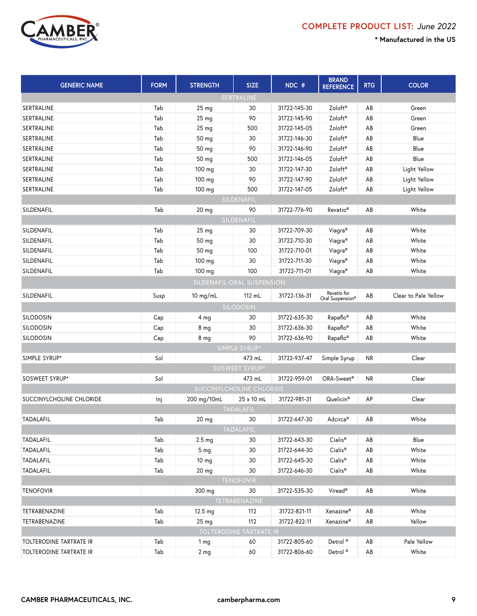

| <b>GENERIC NAME</b>        | <b>FORM</b> | <b>STRENGTH</b>          | <b>SIZE</b>             | NDC #        | <b>BRAND</b><br><b>REFERENCE</b> | <b>RTG</b> | <b>COLOR</b>         |  |  |
|----------------------------|-------------|--------------------------|-------------------------|--------------|----------------------------------|------------|----------------------|--|--|
|                            |             |                          | SERTRALINE              |              |                                  |            |                      |  |  |
| <b>SERTRALINE</b>          | Tab         | 25 <sub>mg</sub>         | 30                      | 31722-145-30 | Zoloft <sup>®</sup>              | AB         | Green                |  |  |
| SERTRALINE                 | Tab         | 25 <sub>mg</sub>         | 90                      | 31722-145-90 | Zoloft <sup>®</sup>              | AB         | Green                |  |  |
| SERTRALINE                 | Tab         | 25 mg                    | 500                     | 31722-145-05 | Zoloft <sup>®</sup>              | AB         | Green                |  |  |
| SERTRALINE                 | Tab         | 50 mg                    | 30                      | 31722-146-30 | Zoloft <sup>®</sup>              | AB         | Blue                 |  |  |
| SERTRALINE                 | Tab         | 50 mg                    | 90                      | 31722-146-90 | Zoloft <sup>®</sup>              | AB         | Blue                 |  |  |
| SERTRALINE                 | Tab         | 50 mg                    | 500                     | 31722-146-05 | Zoloft®                          | AB         | Blue                 |  |  |
| SERTRALINE                 | Tab         | 100 mg                   | 30                      | 31722-147-30 | Zoloft®                          | AB         | Light Yellow         |  |  |
| SERTRALINE                 | Tab         | 100 mg                   | 90                      | 31722-147-90 | Zoloft <sup>®</sup>              | AB         | Light Yellow         |  |  |
| SERTRALINE                 | Tab         | 100 mg                   | 500                     | 31722-147-05 | Zoloft®                          | AB         | Light Yellow         |  |  |
| SILDENAFIL                 |             |                          |                         |              |                                  |            |                      |  |  |
| SILDENAFIL                 | Tab         | $20$ mg                  | 90                      | 31722-776-90 | Revatio <sup>®</sup>             | AB         | White                |  |  |
|                            |             |                          | SILDENAFIL              |              |                                  |            |                      |  |  |
| SILDENAFIL                 | Tab         | 25 <sub>mg</sub>         | 30                      | 31722-709-30 | Viagra <sup>®</sup>              | AB         | White                |  |  |
| SILDENAFIL                 | Tab         | 50 mg                    | 30                      | 31722-710-30 | Viagra <sup>®</sup>              | AB         | White                |  |  |
| SILDENAFIL                 | Tab         | 50 mg                    | 100                     | 31722-710-01 | Viagra <sup>®</sup>              | AB         | White                |  |  |
| SILDENAFIL                 | Tab         | 100 mg                   | 30                      | 31722-711-30 | Viagra®                          | AB         | White                |  |  |
| SILDENAFIL                 | Tab         | 100 mg                   | 100                     | 31722-711-01 | Viagra®                          | AB         | White                |  |  |
| SILDENAFIL ORAL SUSPENSION |             |                          |                         |              |                                  |            |                      |  |  |
| SILDENAFIL                 | Susp        | $10$ mg/mL               | 112 mL                  | 31722-136-31 | Revatio for<br>Oral Suspension®  | AB         | Clear to Pale Yellow |  |  |
|                            |             |                          | SILODOSIN               |              |                                  |            |                      |  |  |
| <b>SILODOSIN</b>           | Cap         | 4 mg                     | 30                      | 31722-635-30 | Rapaflo®                         | AB         | White                |  |  |
| <b>SILODOSIN</b>           | Cap         | 8 <sub>mg</sub>          | 30                      | 31722-636-30 | Rapaflo®                         | AB         | White                |  |  |
| <b>SILODOSIN</b>           | Cap         | 8 <sub>mg</sub>          | 90                      | 31722-636-90 | Rapaflo®                         | AB         | White                |  |  |
|                            |             |                          | SIMPLE SYRUP*           |              |                                  |            |                      |  |  |
| SIMPLE SYRUP*              | Sol         |                          | 473 mL                  | 31722-937-47 | Simple Syrup                     | <b>NR</b>  | Clear                |  |  |
|                            |             |                          | SOSWEET SYRUP*          |              |                                  |            |                      |  |  |
| SOSWEET SYRUP*             | Sol         |                          | 473 mL                  | 31722-959-01 | ORA-Sweet®                       | NR         | Clear                |  |  |
|                            |             | SUCCINYLCHOLINE CHLORIDE |                         |              |                                  |            |                      |  |  |
| SUCCINYLCHOLINE CHLORIDE   | Inj         | 200 mg/10mL              | 25 x 10 mL              | 31722-981-31 | Quelicin <sup>®</sup>            | АP         | Clear                |  |  |
|                            |             |                          | <b>TADALAFIL</b>        |              |                                  |            |                      |  |  |
| TADALAFIL                  | Tab         | 20 <sub>mg</sub>         | 30                      | 31722-647-30 | Adcirca®                         | AB         | White                |  |  |
|                            |             |                          | <b>TADALAFIL</b>        |              |                                  |            |                      |  |  |
| TADALAFIL                  | Tab         | 2.5 <sub>mg</sub>        | 30                      | 31722-643-30 | Cialis <sup>®</sup>              | AB         | Blue                 |  |  |
| TADALAFIL                  | Tab         | 5 <sub>mq</sub>          | 30                      | 31722-644-30 | Cialis <sup>®</sup>              | AB         | White                |  |  |
| TADALAFIL                  | Tab         | 10 <sub>mg</sub>         | 30                      | 31722-645-30 | Cialis <sup>®</sup>              | AB         | White                |  |  |
| TADALAFIL                  | Tab         | 20 <sub>mg</sub>         | 30                      | 31722-646-30 | Cialis <sup>®</sup>              | AB         | White                |  |  |
|                            |             |                          | <b>TENOFOVIR</b>        |              |                                  |            |                      |  |  |
| <b>TENOFOVIR</b>           |             | 300 mg                   | 30                      | 31722-535-30 | Viread®                          | AB         | White                |  |  |
|                            |             |                          | TETRABENAZINE           |              |                                  |            |                      |  |  |
| TETRABENAZINE              | Tab         | 12.5 mg                  | 112                     | 31722-821-11 | Xenazine®                        | AB         | White                |  |  |
| TETRABENAZINE              | Tab         | 25 <sub>mg</sub>         | 112                     | 31722-822-11 | Xenazine®                        | AB         | Yellow               |  |  |
|                            |             |                          | TOLTERODINE TARTRATE IR |              |                                  |            |                      |  |  |
| TOLTERODINE TARTRATE IR    | Tab         | 1 <sub>mg</sub>          | 60                      | 31722-805-60 | Detrol <sup>®</sup>              | AB         | Pale Yellow          |  |  |
| TOLTERODINE TARTRATE IR    | Tab         | 2 <sub>mg</sub>          | 60                      | 31722-806-60 | Detrol <sup>®</sup>              | AB         | White                |  |  |